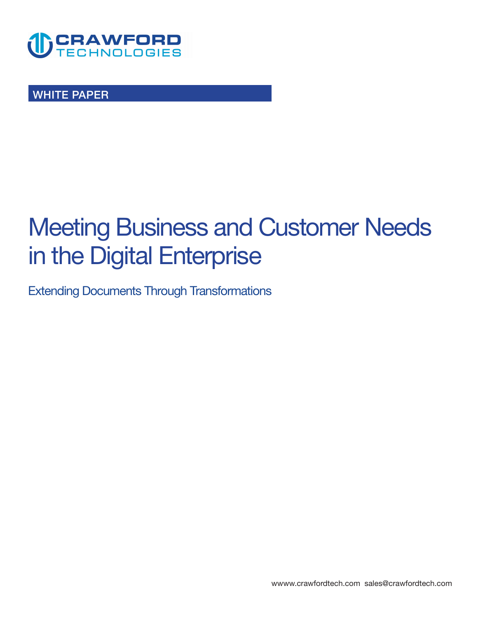

**WHITE PAPER** 

# **Meeting Business and Customer Needs in the Digital Enterprise**

**Extending Documents Through Transformations**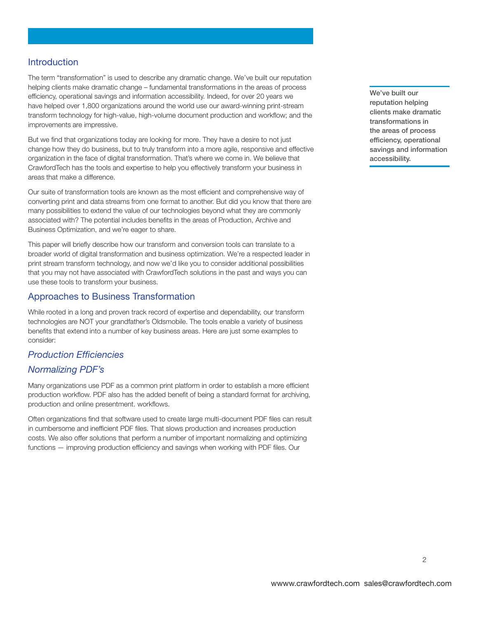### **Introduction**

**The term "transformation" is used to describe any dramatic change. We've built our reputation helping clients make dramatic change – fundamental transformations in the areas of process efficiency, operational savings and information accessibility. Indeed, for over 20 years we have helped over 1,800 organizations around the world use our award-winning print-stream transform technology for high-value, high-volume document production and workflow; and the improvements are impressive.** 

**But we find that organizations today are looking for more. They have a desire to not just change how they do business, but to truly transform into a more agile, responsive and effective organization in the face of digital transformation. That's where we come in. We believe that CrawfordTech has the tools and expertise to help you effectively transform your business in areas that make a difference.** 

**Our suite of transformation tools are known as the most efficient and comprehensive way of converting print and data streams from one format to another. But did you know that there are many possibilities to extend the value of our technologies beyond what they are commonly associated with? The potential includes benefits in the areas of Production, Archive and Business Optimization, and we're eager to share.** 

**This paper will briefly describe how our transform and conversion tools can translate to a broader world of digital transformation and business optimization. We're a respected leader in print stream transform technology, and now we'd like you to consider additional possibilities that you may not have associated with CrawfordTech solutions in the past and ways you can use these tools to transform your business.** 

#### **Approaches to Business Transformation**

**While rooted in a long and proven track record of expertise and dependability, our transform technologies are NOT your grandfather's Oldsmobile. The tools enable a variety of business benefits that extend into a number of key business areas. Here are just some examples to consider:** 

# *Production Efficiencies*

# *Normalizing PDF's*

**Many organizations use PDF as a common print platform in order to establish a more efficient production workflow. PDF also has the added benefit of being a standard format for archiving, production and online presentment. workflows.** 

**Often organizations find that software used to create large multi-document PDF files can result in cumbersome and inefficient PDF files. That slows production and increases production costs. We also offer solutions that perform a number of important normalizing and optimizing functions — improving production efficiency and savings when working with PDF files. Our** 

**We've built our reputation helping clients make dramatic transformations in the areas of process efficiency, operational savings and information accessibility.**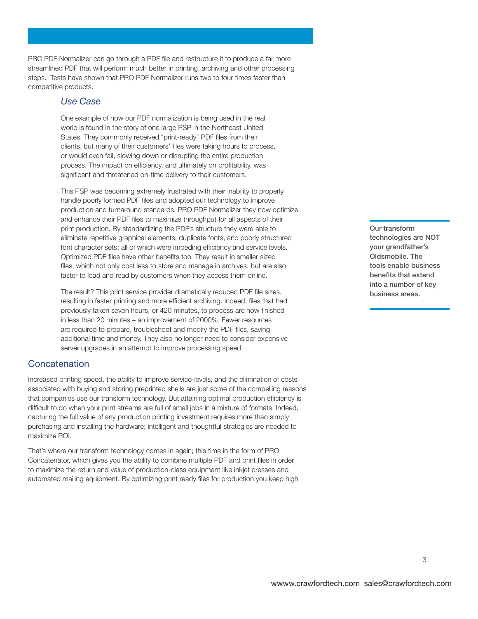**PRO PDF Normalizer can go through a PDF file and restructure it to produce a far more streamlined PDF that will perform much better in printing, archiving and other processing steps. Tests have shown that PRO PDF Normalizer runs two to four times faster than competitive products.** 

#### *Use Case*

**One example of how our PDF normalization is being used in the real world is found in the story of one large PSP in the Northeast United States. They commonly received "print-ready" PDF files from their clients, but many of their customers' files were taking hours to process, or would even fail, slowing down or disrupting the entire production process. The impact on efficiency, and ultimately on profitability, was significant and threatened on-time delivery to their customers.** 

**This PSP was becoming extremely frustrated with their inability to properly handle poorly formed PDF files and adopted our technology to improve production and turnaround standards. PRO PDF Normalizer they now optimize and enhance their PDF files to maximize throughput for all aspects of their print production. By standardizing the PDF's structure they were able to eliminate repetitive graphical elements, duplicate fonts, and poorly structured font character sets; all of which were impeding efficiency and service levels. Optimized PDF files have other benefits too. They result in smaller sized files, which not only cost less to store and manage in archives, but are also faster to load and read by customers when they access them online.** 

**The result? This print service provider dramatically reduced PDF file sizes, resulting in faster printing and more efficient archiving. Indeed, files that had previously taken seven hours, or 420 minutes, to process are now finished in less than 20 minutes – an improvement of 2000%. Fewer resources are required to prepare, troubleshoot and modify the PDF files, saving additional time and money. They also no longer need to consider expensive server upgrades in an attempt to improve processing speed.** 

#### **Concatenation**

**Increased printing speed, the ability to improve service-levels, and the elimination of costs associated with buying and storing preprinted shells are just some of the compelling reasons that companies use our transform technology. But attaining optimal production efficiency is difficult to do when your print streams are full of small jobs in a mixture of formats. Indeed, capturing the full value of any production printing investment requires more than simply purchasing and installing the hardware; intelligent and thoughtful strategies are needed to maximize ROI.** 

**That's where our transform technology comes in again; this time in the form of PRO Concatenator, which gives you the ability to combine multiple PDF and print files in order to maximize the return and value of production-class equipment like inkjet presses and automated mailing equipment. By optimizing print ready files for production you keep high**  **Our transform technologies are NOT your grandfather's Oldsmobile. The tools enable business benefits that extend into a number of key business areas.**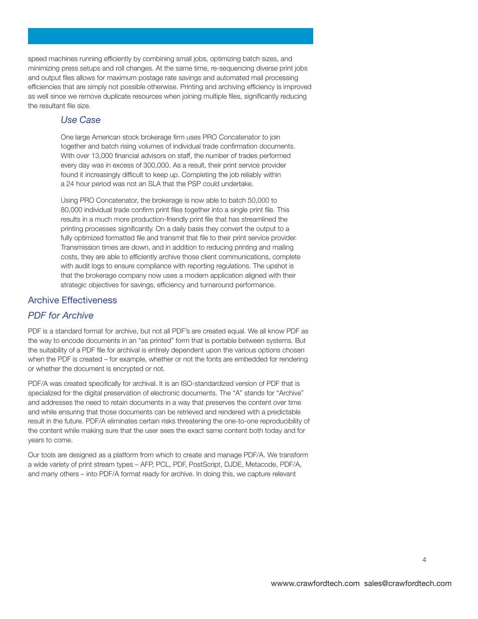**speed machines running efficiently by combining small jobs, optimizing batch sizes, and minimizing press setups and roll changes. At the same time, re-sequencing diverse print jobs and output files allows for maximum postage rate savings and automated mail processing efficiencies that are simply not possible otherwise. Printing and archiving efficiency is improved as well since we remove duplicate resources when joining multiple files, significantly reducing the resultant file size.** 

# *Use Case*

**One large American stock brokerage firm uses PRO Concatenator to join together and batch rising volumes of individual trade confirmation documents. With over 13,000 financial advisors on staff, the number of trades performed every day was in excess of 300,000. As a result, their print service provider found it increasingly difficult to keep up. Completing the job reliably within a 24 hour period was not an SLA that the PSP could undertake.** 

**Using PRO Concatenator, the brokerage is now able to batch 50,000 to 80,000 individual trade confirm print files together into a single print file. This results in a much more production-friendly print file that has streamlined the printing processes significantly. On a daily basis they convert the output to a fully optimized formatted file and transmit that file to their print service provider. Transmission times are down, and in addition to reducing printing and mailing costs, they are able to efficiently archive those client communications, complete with audit logs to ensure compliance with reporting regulations. The upshot is that the brokerage company now uses a modern application aligned with their strategic objectives for savings, efficiency and turnaround performance.** 

# **Archive Effectiveness**

# *PDF for Archive*

**PDF is a standard format for archive, but not all PDF's are created equal. We all know PDF as the way to encode documents in an "as printed" form that is portable between systems. But the suitability of a PDF file for archival is entirely dependent upon the various options chosen**  when the PDF is created – for example, whether or not the fonts are embedded for rendering **or whether the document is encrypted or not.** 

**PDF/A was created specifically for archival. It is an ISO-standardized version of PDF that is specialized for the digital preservation of electronic documents. The "A" stands for "Archive" and addresses the need to retain documents in a way that preserves the content over time and while ensuring that those documents can be retrieved and rendered with a predictable result in the future. PDF/A eliminates certain risks threatening the one-to-one reproducibility of the content while making sure that the user sees the exact same content both today and for years to come.** 

**Our tools are designed as a platform from which to create and manage PDF/A. We transform a wide variety of print stream types – AFP, PCL, PDF, PostScript, DJDE, Metacode, PDF/A, and many others – into PDF/A format ready for archive. In doing this, we capture relevant**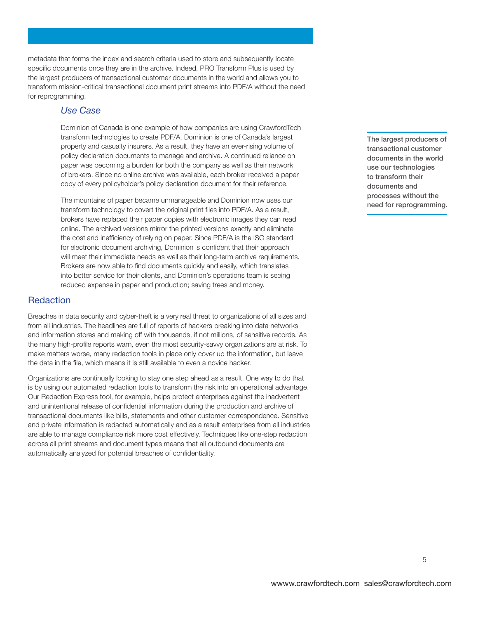**metadata that forms the index and search criteria used to store and subsequently locate specific documents once they are in the archive. Indeed, PRO Transform Plus is used by the largest producers of transactional customer documents in the world and allows you to transform mission-critical transactional document print streams into PDF/A without the need for reprogramming.** 

#### *Use Case*

**Dominion of Canada is one example of how companies are using CrawfordTech transform technologies to create PDF/A. Dominion is one of Canada's largest property and casualty insurers. As a result, they have an ever-rising volume of policy declaration documents to manage and archive. A continued reliance on paper was becoming a burden for both the company as well as their network of brokers. Since no online archive was available, each broker received a paper copy of every policyholder's policy declaration document for their reference.** 

**The mountains of paper became unmanageable and Dominion now uses our transform technology to covert the original print files into PDF/A. As a result, brokers have replaced their paper copies with electronic images they can read online. The archived versions mirror the printed versions exactly and eliminate the cost and inefficiency of relying on paper. Since PDF/A is the ISO standard for electronic document archiving, Dominion is confident that their approach will meet their immediate needs as well as their long-term archive requirements. Brokers are now able to find documents quickly and easily, which translates into better service for their clients, and Dominion's operations team is seeing reduced expense in paper and production; saving trees and money.** 

# **Redaction**

**Breaches in data security and cyber-theft is a very real threat to organizations of all sizes and from all industries. The headlines are full of reports of hackers breaking into data networks and information stores and making off with thousands, if not millions, of sensitive records. As the many high-profile reports warn, even the most security-savvy organizations are at risk. To make matters worse, many redaction tools in place only cover up the information, but leave the data in the file, which means it is still available to even a novice hacker.** 

**Organizations are continually looking to stay one step ahead as a result. One way to do that is by using our automated redaction tools to transform the risk into an operational advantage. Our Redaction Express tool, for example, helps protect enterprises against the inadvertent and unintentional release of confidential information during the production and archive of transactional documents like bills, statements and other customer correspondence. Sensitive and private information is redacted automatically and as a result enterprises from all industries are able to manage compliance risk more cost effectively. Techniques like one-step redaction across all print streams and document types means that all outbound documents are automatically analyzed for potential breaches of confidentiality.** 

**The largest producers of transactional customer documents in the world use our technologies to transform their documents and processes without the need for reprogramming.**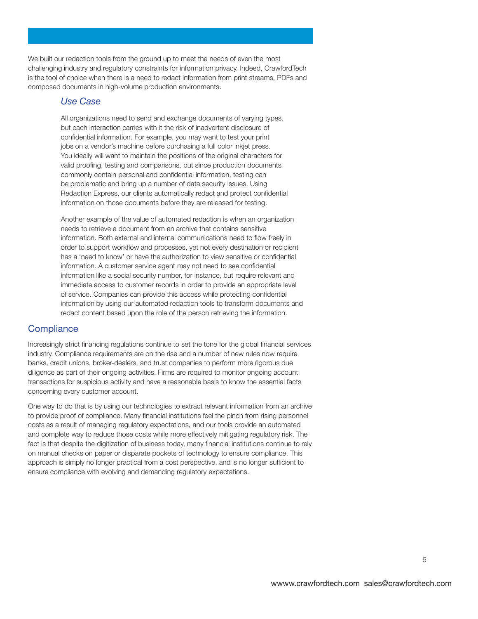**We built our redaction tools from the ground up to meet the needs of even the most challenging industry and regulatory constraints for information privacy. Indeed, CrawfordTech is the tool of choice when there is a need to redact information from print streams, PDFs and composed documents in high-volume production environments.** 

#### *Use Case*

**All organizations need to send and exchange documents of varying types, but each interaction carries with it the risk of inadvertent disclosure of confidential information. For example, you may want to test your print jobs on a vendor's machine before purchasing a full color inkjet press. You ideally will want to maintain the positions of the original characters for valid proofing, testing and comparisons, but since production documents commonly contain personal and confidential information, testing can be problematic and bring up a number of data security issues. Using Redaction Express, our clients automatically redact and protect confidential information on those documents before they are released for testing.** 

**Another example of the value of automated redaction is when an organization needs to retrieve a document from an archive that contains sensitive information. Both external and internal communications need to flow freely in order to support workflow and processes, yet not every destination or recipient has a 'need to know' or have the authorization to view sensitive or confidential information. A customer service agent may not need to see confidential information like a social security number, for instance, but require relevant and immediate access to customer records in order to provide an appropriate level of service. Companies can provide this access while protecting confidential information by using our automated redaction tools to transform documents and redact content based upon the role of the person retrieving the information.** 

#### **Compliance**

**Increasingly strict financing regulations continue to set the tone for the global financial services industry. Compliance requirements are on the rise and a number of new rules now require banks, credit unions, broker-dealers, and trust companies to perform more rigorous due diligence as part of their ongoing activities. Firms are required to monitor ongoing account transactions for suspicious activity and have a reasonable basis to know the essential facts concerning every customer account.** 

**One way to do that is by using our technologies to extract relevant information from an archive to provide proof of compliance. Many financial institutions feel the pinch from rising personnel costs as a result of managing regulatory expectations, and our tools provide an automated and complete way to reduce those costs while more effectively mitigating regulatory risk. The fact is that despite the digitization of business today, many financial institutions continue to rely on manual checks on paper or disparate pockets of technology to ensure compliance. This approach is simply no longer practical from a cost perspective, and is no longer sufficient to ensure compliance with evolving and demanding regulatory expectations.**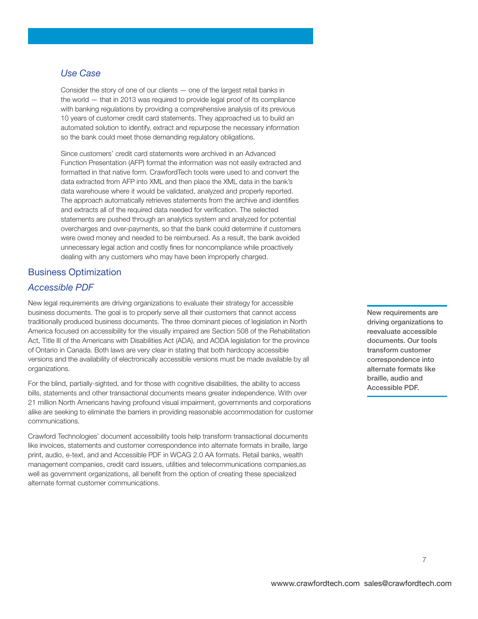# *Use Case*

**Consider the story of one of our clients — one of the largest retail banks in the world — that in 2013 was required to provide legal proof of its compliance with banking regulations by providing a comprehensive analysis of its previous 10 years of customer credit card statements. They approached us to build an automated solution to identify, extract and repurpose the necessary information so the bank could meet those demanding regulatory obligations.** 

**Since customers' credit card statements were archived in an Advanced Function Presentation (AFP) format the information was not easily extracted and formatted in that native form. CrawfordTech tools were used to and convert the data extracted from AFP into XML and then place the XML data in the bank's data warehouse where it would be validated, analyzed and properly reported. The approach automatically retrieves statements from the archive and identifies and extracts all of the required data needed for verification. The selected statements are pushed through an analytics system and analyzed for potential overcharges and over-payments, so that the bank could determine if customers were owed money and needed to be reimbursed. As a result, the bank avoided unnecessary legal action and costly fines for noncompliance while proactively dealing with any customers who may have been improperly charged.** 

# **Business Optimization**

# *Accessible PDF*

**New legal requirements are driving organizations to evaluate their strategy for accessible business documents. The goal is to properly serve all their customers that cannot access traditionally produced business documents. The three dominant pieces of legislation in North America focused on accessibility for the visually impaired are Section 508 of the Rehabilitation Act, Title III of the Americans with Disabilities Act (ADA), and AODA legislation for the province of Ontario in Canada. Both laws are very clear in stating that both hardcopy accessible versions and the availability of electronically accessible versions must be made available by all organizations.** 

**For the blind, partially-sighted, and for those with cognitive disabilities, the ability to access bills, statements and other transactional documents means greater independence. With over 21 million North Americans having profound visual impairment, governments and corporations alike are seeking to eliminate the barriers in providing reasonable accommodation for customer communications.** 

**Crawford Technologies' document accessibility tools help transform transactional documents like invoices, statements and customer correspondence into alternate formats in braille, large print, audio, e-text, and and Accessible PDF in WCAG 2.0 AA formats. Retail banks, wealth management companies, credit card issuers, utilities and telecommunications companies,as well as government organizations, all benefit from the option of creating these specialized alternate format customer communications.** 

**New requirements are driving organizations to reevaluate accessible documents. Our tools transform customer correspondence into alternate formats like braille, audio and Accessible PDF.**